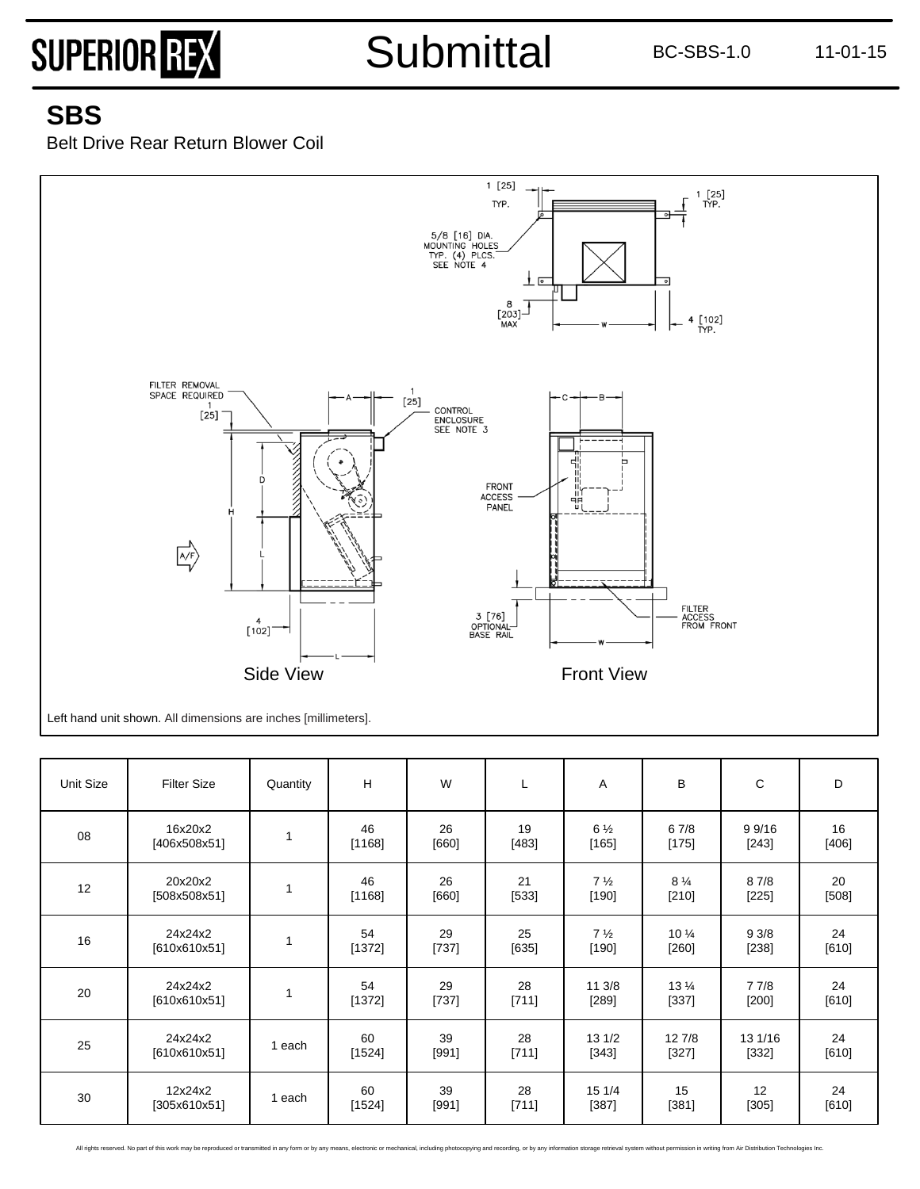Submittal BC-SBS-1.0 11-01-15

### **SBS**

Belt Drive Rear Return Blower Coil



| Unit Size | <b>Filter Size</b>      | Quantity | H            | W             | L             | A                         | B                         | C                 | D             |
|-----------|-------------------------|----------|--------------|---------------|---------------|---------------------------|---------------------------|-------------------|---------------|
| 08        | 16x20x2<br>[406x508x51] | 1        | 46<br>[1168] | 26<br>[660]   | 19<br>$[483]$ | $6\frac{1}{2}$<br>$[165]$ | 67/8<br>$[175]$           | 9 9/16<br>$[243]$ | 16<br>[406]   |
| 12        | 20x20x2<br>[508x508x51] | 1        | 46<br>[1168] | 26<br>$[660]$ | 21<br>$[533]$ | $7\frac{1}{2}$<br>$[190]$ | $8\frac{1}{4}$<br>$[210]$ | 8 7/8<br>$[225]$  | 20<br>[508]   |
| 16        | 24x24x2<br>[610x610x51] | 1        | 54<br>[1372] | 29<br>[737]   | 25<br>[635]   | $7\frac{1}{2}$<br>[190]   | $10\frac{1}{4}$<br>[260]  | 93/8<br>[238]     | 24<br>[610]   |
| 20        | 24x24x2<br>[610x610x51] | 1        | 54<br>[1372] | 29<br>$[737]$ | 28<br>[711]   | 11 3/8<br>$[289]$         | $13\frac{1}{4}$<br>[337]  | 77/8<br>$[200]$   | 24<br>[610]   |
| 25        | 24x24x2<br>[610x610x51] | 1 each   | 60<br>[1524] | 39<br>[991]   | 28<br>[711]   | 13 1/2<br>[343]           | 12 7/8<br>[327]           | 13 1/16<br>[332]  | 24<br>$[610]$ |
| 30        | 12x24x2<br>[305x610x51] | 1 each   | 60<br>[1524] | 39<br>[991]   | 28<br>[711]   | 15 1/4<br>$[387]$         | 15<br>[381]               | 12<br>$[305]$     | 24<br>[610]   |

All rights reserved. No part of this work may be reproduced or transmitted in any form or by any means, electronic or mechanical, including photocopying and recording, or by any information storage retrieval system without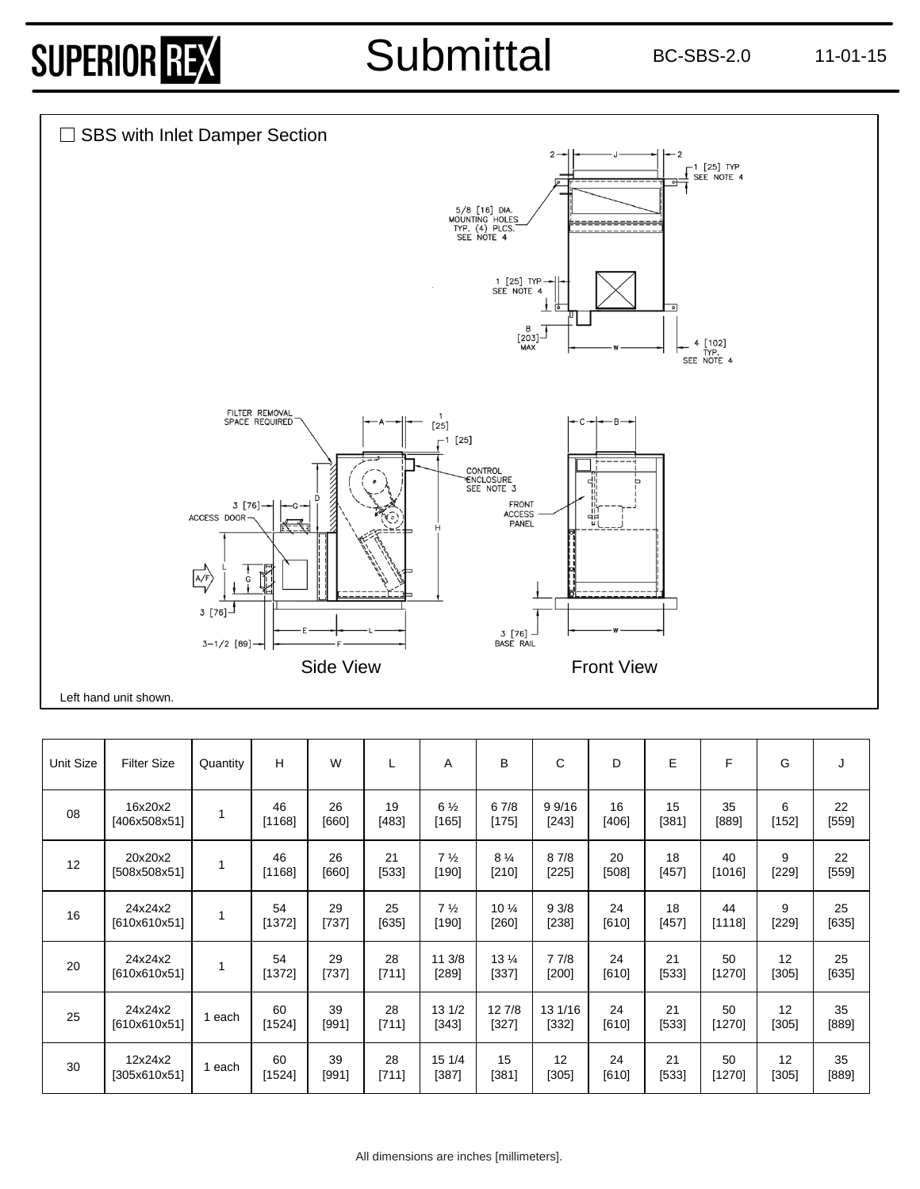## Submittal BC-SBS-2.0 11-01-15



| <b>Unit Size</b> | <b>Filter Size</b>      | Quantity | н            | W           | L           | A                       | B                         | $\mathsf{C}$     | D           | E           | F            | G            | J             |
|------------------|-------------------------|----------|--------------|-------------|-------------|-------------------------|---------------------------|------------------|-------------|-------------|--------------|--------------|---------------|
| 08               | 16x20x2<br>[406x508x51] | 1        | 46<br>[1168] | 26<br>[660] | 19<br>[483] | $6\frac{1}{2}$<br>[165] | 67/8<br>[175]             | 9 9/16<br>[243]  | 16<br>[406] | 15<br>[381] | 35<br>[889]  | 6<br>[152]   | 22<br>$[559]$ |
| 12               | 20x20x2<br>[508x508x51] | 1        | 46<br>[1168] | 26<br>[660] | 21<br>[533] | 7 <sub>2</sub><br>[190] | $8\frac{1}{4}$<br>$[210]$ | 87/8<br>$[225]$  | 20<br>[508] | 18<br>[457] | 40<br>[1016] | 9<br>$[229]$ | 22<br>[559]   |
| 16               | 24x24x2<br>[610x610x51] |          | 54<br>[1372] | 29<br>[737] | 25<br>[635] | $7\frac{1}{2}$<br>[190] | 10 %<br>[260]             | 93/8<br>[238]    | 24<br>[610] | 18<br>[457] | 44<br>[1118] | 9<br>[229]   | 25<br>[635]   |
| 20               | 24x24x2<br>[610x610x51] | 1        | 54<br>[1372] | 29<br>[737] | 28<br>[711] | 11 3/8<br>[289]         | 13 %<br>[337]             | 77/8<br>[200]    | 24<br>[610] | 21<br>[533] | 50<br>[1270] | 12<br>[305]  | 25<br>[635]   |
| 25               | 24x24x2<br>[610x610x51] | 1 each   | 60<br>[1524] | 39<br>[991] | 28<br>[711] | 13 1/2<br>[343]         | 12 7/8<br>[327]           | 13 1/16<br>[332] | 24<br>[610] | 21<br>[533] | 50<br>[1270] | 12<br>[305]  | 35<br>[889]   |
| 30               | 12x24x2<br>[305x610x51] | 1 each   | 60<br>[1524] | 39<br>[991] | 28<br>[711] | 15 1/4<br>[387]         | 15<br>[381]               | 12<br>[305]      | 24<br>[610] | 21<br>[533] | 50<br>[1270] | 12<br>[305]  | 35<br>[889]   |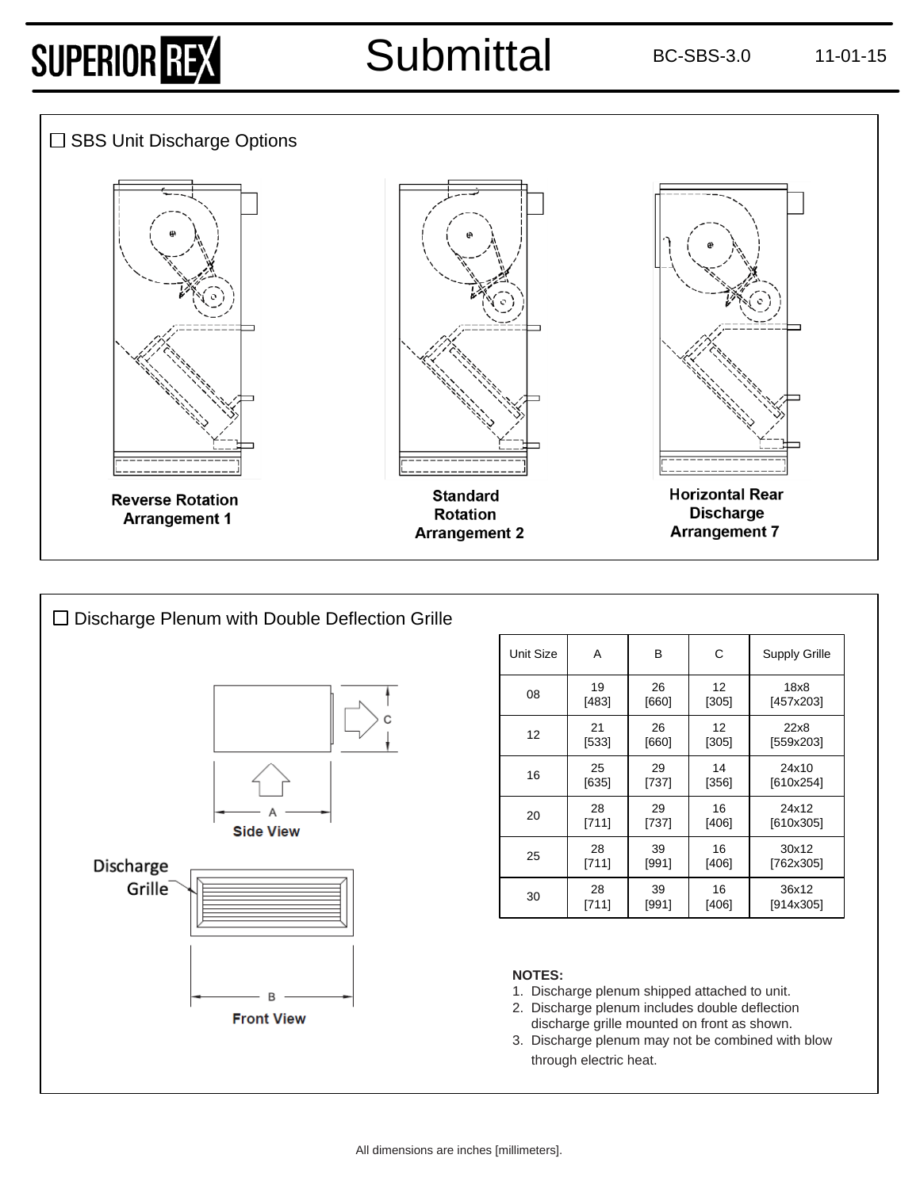### Submittal BC-SBS-3.0 11-01-15





| Unit Size | A     | В     | С       | <b>Supply Grille</b> |
|-----------|-------|-------|---------|----------------------|
| 08        | 19    | 26    | 12      | 18x8                 |
|           | [483] | [660] | [305]   | [457x203]            |
| 12        | 21    | 26    | 12      | 22x8                 |
|           | [533] | [660] | [305]   | [559x203]            |
| 16        | 25    | 29    | 14      | 24x10                |
|           | [635] | [737] | $[356]$ | [610x254]            |
| 20        | 28    | 29    | 16      | 24x12                |
|           | [711] | [737] | $[406]$ | [610x305]            |
| 25        | 28    | 39    | 16      | 30x12                |
|           | [711] | [991] | $[406]$ | [762x305]            |
| 30        | 28    | 39    | 16      | 36x12                |
|           | [711] | [991] | [406]   | [914x305]            |

#### **NOTES:**

- 1. Discharge plenum shipped attached to unit.
- 2. Discharge plenum includes double deflection discharge grille mounted on front as shown.
- 3. Discharge plenum may not be combined with blow through electric heat.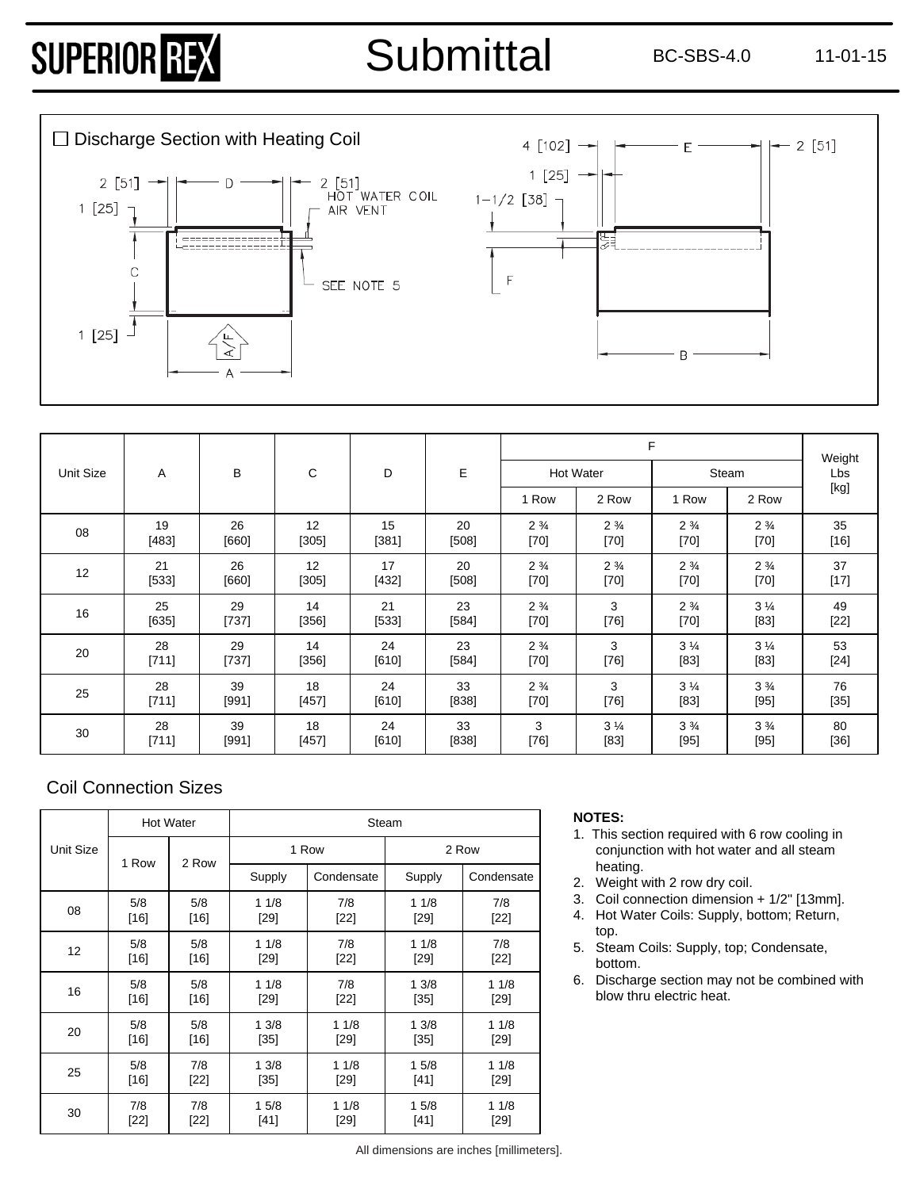

|           |         |         | C       | D       |         |                |                  | Weight         |                |                                                                                                                                                                                                                                                                                                                                                                                                                                                                                                                                                                                                                                                                    |
|-----------|---------|---------|---------|---------|---------|----------------|------------------|----------------|----------------|--------------------------------------------------------------------------------------------------------------------------------------------------------------------------------------------------------------------------------------------------------------------------------------------------------------------------------------------------------------------------------------------------------------------------------------------------------------------------------------------------------------------------------------------------------------------------------------------------------------------------------------------------------------------|
| Unit Size | A       | B       |         |         | E       |                | <b>Hot Water</b> |                | Steam          | Lbs                                                                                                                                                                                                                                                                                                                                                                                                                                                                                                                                                                                                                                                                |
|           |         |         |         |         |         | 1 Row          | 2 Row            | 1 Row          | 2 Row          | $[kg] % \begin{center} % \includegraphics[width=\linewidth]{imagesSupplemental_3.png} % \end{center} % \caption { % \textit{DefNet} of the \textit{DefNet} dataset. % Note that the \textit{DefNet} and \textit{DefNet} dataset. % Note that the \textit{DefNet} and \textit{DefNet} dataset. % Note that the \textit{DefNet} and \textit{DefNet} dataset. % Note that the \textit{DefNet} and \textit{DefNet} dataset. % Note that the \textit{DefNet} and \textit{DefNet} dataset. % Note that the \textit{DefNet} and \textit{DefNet} dataset. % Note that the \textit{DefNet} and \textit{DefNet} dataset. % Note that the \textit{DefNet} and \textit{DefNet$ |
| 08        | 19      | 26      | 12      | 15      | 20      | $2\frac{3}{4}$ | $2\frac{3}{4}$   | $2\frac{3}{4}$ | $2\frac{3}{4}$ | 35                                                                                                                                                                                                                                                                                                                                                                                                                                                                                                                                                                                                                                                                 |
|           | [483]   | $[660]$ | [305]   | [381]   | [508]   | $[70]$         | $[70]$           | $[70]$         | $[70]$         | $[16]$                                                                                                                                                                                                                                                                                                                                                                                                                                                                                                                                                                                                                                                             |
| 12        | 21      | 26      | 12      | 17      | 20      | $2\frac{3}{4}$ | $2\frac{3}{4}$   | $2\frac{3}{4}$ | $2\frac{3}{4}$ | 37                                                                                                                                                                                                                                                                                                                                                                                                                                                                                                                                                                                                                                                                 |
|           | [533]   | [660]   | [305]   | [432]   | [508]   | $[70]$         | $[70]$           | $[70]$         | $[70]$         | $[17]$                                                                                                                                                                                                                                                                                                                                                                                                                                                                                                                                                                                                                                                             |
| 16        | 25      | 29      | 14      | 21      | 23      | $2\frac{3}{4}$ | 3                | $2\frac{3}{4}$ | $3\frac{1}{4}$ | 49                                                                                                                                                                                                                                                                                                                                                                                                                                                                                                                                                                                                                                                                 |
|           | $[635]$ | [737]   | [356]   | [533]   | [584]   | $[70]$         | $[76]$           | $[70]$         | $[83]$         | $[22]$                                                                                                                                                                                                                                                                                                                                                                                                                                                                                                                                                                                                                                                             |
| 20        | 28      | 29      | 14      | 24      | 23      | $2\frac{3}{4}$ | 3                | $3\frac{1}{4}$ | $3\frac{1}{4}$ | 53                                                                                                                                                                                                                                                                                                                                                                                                                                                                                                                                                                                                                                                                 |
|           | [711]   | [737]   | [356]   | [610]   | [584]   | $[70]$         | $[76]$           | $[83]$         | $[83]$         | $[24]$                                                                                                                                                                                                                                                                                                                                                                                                                                                                                                                                                                                                                                                             |
| 25        | 28      | 39      | 18      | 24      | 33      | $2\frac{3}{4}$ | 3                | $3\frac{1}{4}$ | $3\frac{3}{4}$ | 76                                                                                                                                                                                                                                                                                                                                                                                                                                                                                                                                                                                                                                                                 |
|           | [711]   | [991]   | $[457]$ | $[610]$ | [838]   | $[70]$         | $[76]$           | $[83]$         | $[95]$         | $[35]$                                                                                                                                                                                                                                                                                                                                                                                                                                                                                                                                                                                                                                                             |
| 30        | 28      | 39      | 18      | 24      | 33      | 3              | $3\frac{1}{4}$   | $3\frac{3}{4}$ | $3\frac{3}{4}$ | 80                                                                                                                                                                                                                                                                                                                                                                                                                                                                                                                                                                                                                                                                 |
|           | [711]   | [991]   | $[457]$ | [610]   | $[838]$ | $[76]$         | $[83]$           | $[95]$         | $[95]$         | $[36]$                                                                                                                                                                                                                                                                                                                                                                                                                                                                                                                                                                                                                                                             |

### Coil Connection Sizes

| Unit Size |        | <b>Hot Water</b> | Steam                |       |        |            |  |  |  |  |
|-----------|--------|------------------|----------------------|-------|--------|------------|--|--|--|--|
|           | 1 Row  | 2 Row            |                      | 1 Row | 2 Row  |            |  |  |  |  |
|           |        |                  | Condensate<br>Supply |       | Supply | Condensate |  |  |  |  |
| 08        | 5/8    | 5/8              | 11/8                 | 7/8   | 11/8   | 7/8        |  |  |  |  |
|           | $[16]$ | $[16]$           | $[29]$               | [22]  | $[29]$ | $[22]$     |  |  |  |  |
| 12        | 5/8    | 5/8              | 11/8                 | 7/8   | 11/8   | 7/8        |  |  |  |  |
|           | $[16]$ | $[16]$           | $[29]$               | [22]  | $[29]$ | $[22]$     |  |  |  |  |
| 16        | 5/8    | 5/8              | 11/8                 | 7/8   | 13/8   | 11/8       |  |  |  |  |
|           | $[16]$ | $[16]$           | [29]                 | [22]  | $[35]$ | [29]       |  |  |  |  |
| 20        | 5/8    | 5/8              | 13/8                 | 11/8  | 13/8   | 11/8       |  |  |  |  |
|           | $[16]$ | [16]             | [35]                 | [29]  | $[35]$ | [29]       |  |  |  |  |
| 25        | 5/8    | 7/8              | 13/8                 | 11/8  | 15/8   | 11/8       |  |  |  |  |
|           | $[16]$ | [22]             | $[35]$               | [29]  | [41]   | [29]       |  |  |  |  |
| 30        | 7/8    | 7/8              | 15/8                 | 11/8  | 15/8   | 11/8       |  |  |  |  |
|           | [22]   | [22]             | [41]                 | [29]  | $[41]$ | [29]       |  |  |  |  |

#### **NOTES:**

- 1. This section required with 6 row cooling in conjunction with hot water and all steam heating.
- 2. Weight with 2 row dry coil.
- 3. Coil connection dimension + 1/2" [13mm].
- 4. Hot Water Coils: Supply, bottom; Return, top.
- 5. Steam Coils: Supply, top; Condensate, bottom.
- 6. Discharge section may not be combined with blow thru electric heat.

All dimensions are inches [millimeters].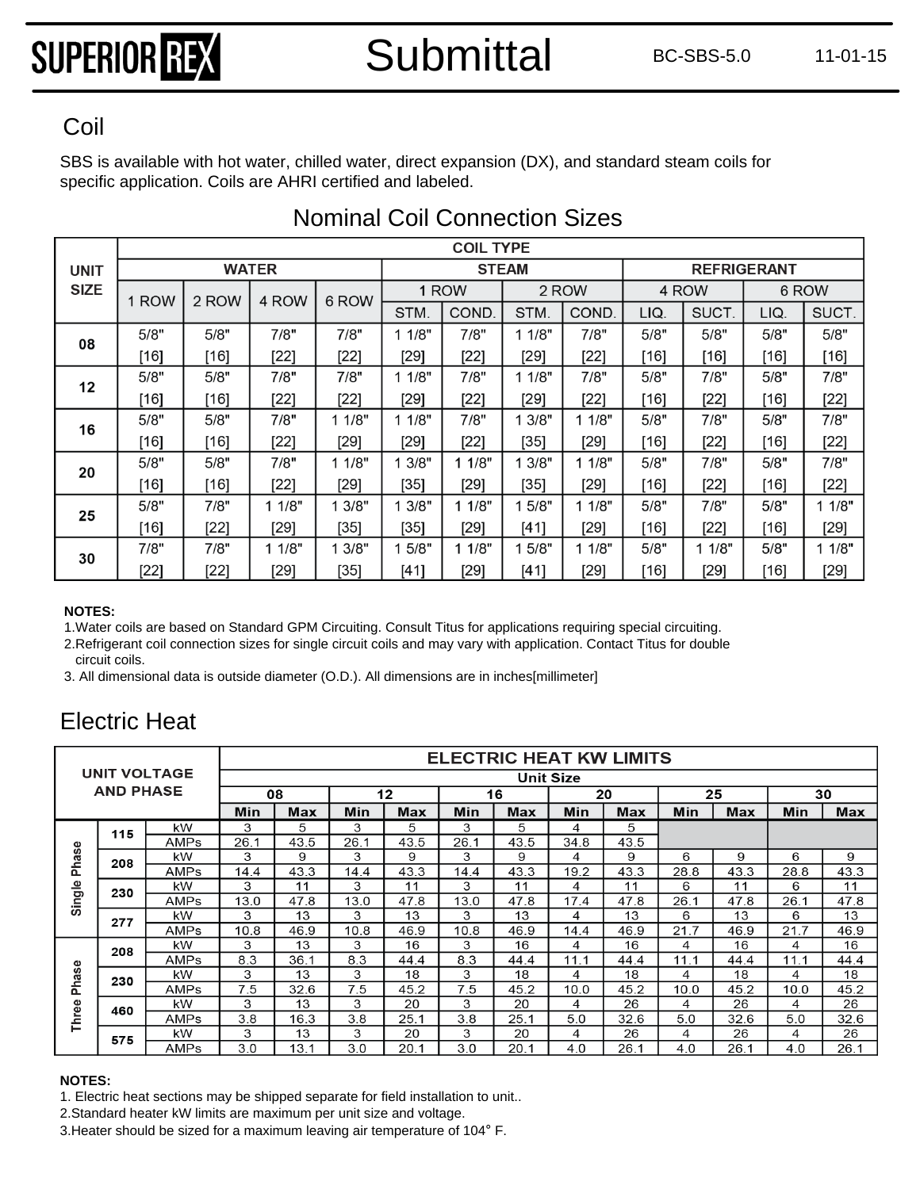SBS is available with hot water, chilled water, direct expansion (DX), and standard steam coils for Coil<br>SBS is available with hot water, chilled water, direct expa<br>specific application. Coils are AHRI certified and labeled.

|             |        |        |              |        |        | <b>COIL TYPE</b> |              |        |        |                    |       |        |
|-------------|--------|--------|--------------|--------|--------|------------------|--------------|--------|--------|--------------------|-------|--------|
| <b>UNIT</b> |        |        | <b>WATER</b> |        |        |                  | <b>STEAM</b> |        |        | <b>REFRIGERANT</b> |       |        |
| <b>SIZE</b> | 1 ROW  | 2 ROW  | 4 ROW        | 6 ROW  |        | 1 ROW            |              | 2 ROW  | 4 ROW  |                    | 6 ROW |        |
|             |        |        |              |        | STM.   | COND.            | STM.         | COND.  | LIQ.   | SUCT.              | LIQ.  | SUCT.  |
| 08          | 5/8"   | 5/8"   | 7/8"         | 7/8"   | 11/8"  | 7/8"             | 11/8"        | 7/8"   | 5/8"   | 5/8"               | 5/8"  | 5/8"   |
|             | $[16]$ | [16]   | [22]         | [22]   | $[29]$ | [22]             | $[29]$       | $[22]$ | [16]   | $[16]$             | [16]  | [16]   |
| 12          | 5/8"   | 5/8"   | 7/8"         | 7/8"   | 11/8"  | 7/8"             | 1 1/8"       | 7/8"   | 5/8"   | 7/8"               | 5/8"  | 7/8"   |
|             | $[16]$ | $[16]$ | $[22]$       | $[22]$ | [29]   | $[22]$           | [29]         | $[22]$ | $[16]$ | $[22]$             | [16]  | $[22]$ |
| 16          | 5/8"   | 5/8"   | 7/8"         | 11/8"  | 1 1/8" | 7/8"             | 1 3/8"       | 11/8"  | 5/8"   | 7/8"               | 5/8"  | 7/8"   |
|             | $[16]$ | $[16]$ | $[22]$       | [29]   | $[29]$ | $[22]$           | [35]         | $[29]$ | [16]   | $[22]$             | [16]  | $[22]$ |
| 20          | 5/8"   | 5/8"   | 7/8"         | 11/8"  | 3/8"   | 11/8"            | 1 3/8"       | 1/8"   | 5/8"   | 7/8"               | 5/8"  | 7/8"   |
|             | $[16]$ | $[16]$ | $[22]$       | [29]   | $[35]$ | [29]             | [35]         | $[29]$ | [16]   | $[22]$             | [16]  | $[22]$ |
| 25          | 5/8"   | 7/8"   | 11/8"        | 13/8"  | 3/8"   | 11/8"            | 1 5/8"       | 1/8"   | 5/8"   | 7/8"               | 5/8"  | 11/8"  |
|             | $[16]$ | $[22]$ | $[29]$       | $[35]$ | $[35]$ | [29]             | [41]         | $[29]$ | [16]   | $[22]$             | [16]  | $[29]$ |
|             | 7/8"   | 7/8"   | 11/8"        | 1 3/8" | 5/8"   | 11/8"            | 1 5/8"       | 11/8"  | 5/8"   | 11/8"              | 5/8"  | 1 1/8" |
| 30          | $[22]$ | $[22]$ | [29]         | [35]   | [41]   | [29]             | [41]         | $[29]$ | [16]   | [29]               | [16]  | $[29]$ |

### Nominal Coil Connection Sizes

#### **NOTES:**

1.Water coils are based on Standard GPM Circuiting. Consult Titus for applications requiring special circuiting.

2.Refrigerant coil connection sizes for single circuit coils and may vary with application. Contact Titus for double circuit coils.

3. All dimensional data is outside diameter (O.D.). All dimensions are in inches[millimeter]

### Electric Heat

|                     |                  |      |            |      |      |      |                  |      |      | <b>ELECTRIC HEAT KW LIMITS</b> |      |      |      |      |
|---------------------|------------------|------|------------|------|------|------|------------------|------|------|--------------------------------|------|------|------|------|
| <b>UNIT VOLTAGE</b> |                  |      |            |      |      |      | <b>Unit Size</b> |      |      |                                |      |      |      |      |
|                     | <b>AND PHASE</b> |      |            | 08   |      | 12   |                  | 16   |      | 20                             | 25   |      | 30   |      |
|                     |                  | Min  | <b>Max</b> | Min  | Max  | Min  | <b>Max</b>       | Min  | Max  | Min                            | Max  | Min  | Max  |      |
|                     | 115              | kW   | 3          | 5    | 3    | 5    | 3                | 5    | 4    | 5                              |      |      |      |      |
|                     |                  | AMPs | 26.1       | 43.5 | 26.1 | 43.5 | 26.1             | 43.5 | 34.8 | 43.5                           |      |      |      |      |
| Phase               | 208              | kW   | 3          | 9    | 3    | 9    | 3                | 9    | 4    | 9                              | 6    | 9    | 6    | 9    |
| Single              |                  | AMPs | 14.4       | 43.3 | 14.4 | 43.3 | 14.4             | 43.3 | 19.2 | 43.3                           | 28.8 | 43.3 | 28.8 | 43.3 |
|                     | 230              | kW   | 3          | 11   | 3    | 11   | 3                | 11   | 4    | 11                             | 6    | 11   | 6    | 11   |
|                     |                  | AMPs | 13.0       | 47.8 | 13.0 | 47.8 | 13.0             | 47.8 | 17.4 | 47.8                           | 26.1 | 47.8 | 26.1 | 47.8 |
|                     | 277              | kW   | 3          | 13   | 3    | 13   | 3                | 13   | 4    | 13                             | 6    | 13   | 6    | 13   |
|                     |                  | AMPs | 10.8       | 46.9 | 10.8 | 46.9 | 10.8             | 46.9 | 14.4 | 46.9                           | 21.7 | 46.9 | 21.7 | 46.9 |
|                     | 208              | kW   | 3          | 13   | 3    | 16   | 3                | 16   | 4    | 16                             | 4    | 16   | 4    | 16   |
|                     |                  | AMPs | 8.3        | 36.1 | 8.3  | 44.4 | 8.3              | 44.4 | 11.1 | 44.4                           | 11.1 | 44.4 | 11.1 | 44.4 |
| Phase               | 230              | kW   | 3          | 13   | 3    | 18   | 3                | 18   | 4    | 18                             | 4    | 18   | 4    | 18   |
|                     |                  | AMPs | 7.5        | 32.6 | 7.5  | 45.2 | 7.5              | 45.2 | 10.0 | 45.2                           | 10.0 | 45.2 | 10.0 | 45.2 |
|                     | 460              | kW   | 3          | 13   | 3    | 20   | 3                | 20   | 4    | 26                             | 4    | 26   | 4    | 26   |
| Three               |                  | AMPs | 3.8        | 16.3 | 3.8  | 25.1 | 3.8              | 25.1 | 5.0  | 32.6                           | 5.0  | 32.6 | 5.0  | 32.6 |
|                     | 575              | kW   | 3          | 13   | 3    | 20   | 3                | 20   | 4    | 26                             | 4    | 26   | 4    | 26   |
|                     |                  | AMPs | 3.0        | 13.1 | 3.0  | 20.1 | 3.0              | 20.  | 4.0  | 26.1                           | 4.0  | 26.1 | 4.0  | 26.1 |

#### **NOTES:**

1. Electric heat sections may be shipped separate for field installation to unit..

2.Standard heater kW limits are maximum per unit size and voltage.

3.Heater should be sized for a maximum leaving air temperature of 104° F.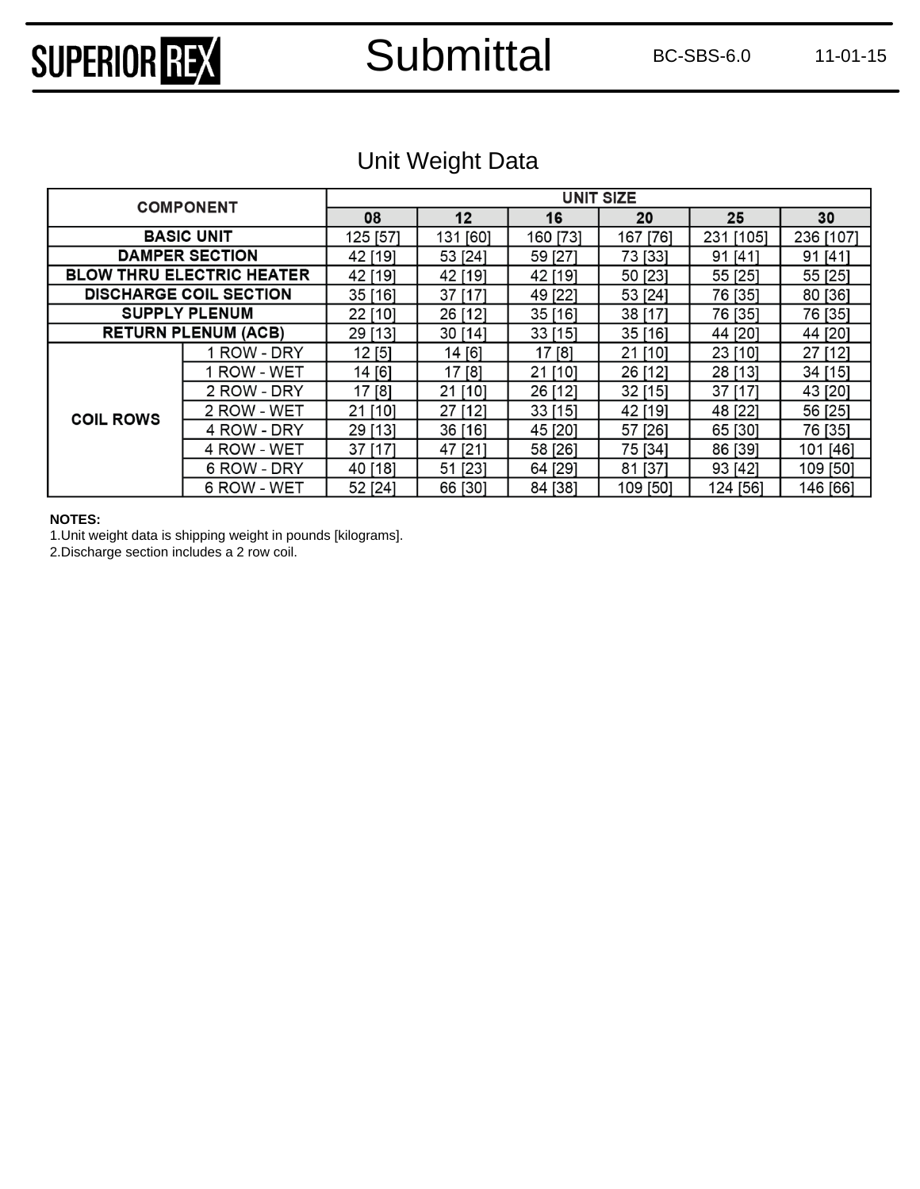### Submittal BC-SBS-6.0 11-01-15

### Unit Weight Data

| <b>COMPONENT</b>  |                                  |          |          | <b>UNIT SIZE</b> |              |            |              |
|-------------------|----------------------------------|----------|----------|------------------|--------------|------------|--------------|
|                   | 08                               | 12       | 16       | 20               | 25           | 30         |              |
| <b>BASIC UNIT</b> | 125 [57]                         | 131 [60] | 160 [73] | 167 [76]         | [105]<br>231 | 236 [107]  |              |
|                   | <b>DAMPER SECTION</b>            | 42 [19]  | 53 [24]  | 59 [27]          | 73 [33]      | [41]<br>91 | $[41]$<br>91 |
|                   | <b>BLOW THRU ELECTRIC HEATER</b> | 42 [19]  | 42 [19]  | 42 [19]          | 50 [23]      | 55 [25]    | 55 [25]      |
|                   | <b>DISCHARGE COIL SECTION</b>    | 35 [16]  | 37 [17]  | 49 [22]          | 53 [24]      | 76 [35]    | 80 [36]      |
|                   | <b>SUPPLY PLENUM</b>             | 22 [10]  | 26 [12]  | 35 [16]          | 38 [17]      | 76 [35]    | 76 [35]      |
|                   | <b>RETURN PLENUM (ACB)</b>       | 29 [13]  | 30 [14]  | 33[15]           | 35 [16]      | 44 [20]    | 44 [20]      |
|                   | 1 ROW - DRY                      | 12[5]    | 14 [6]   | 17[8]            | 21 [10]      | 23 [10]    | 27 [12]      |
|                   | 1 ROW - WET                      | 14 [6]   | 17 [8]   | 21 [10]          | 26 [12]      | 28 [13]    | 34 [15]      |
|                   | 2 ROW - DRY                      | 17 [8]   | 21 [10]  | 26 [12]          | 32 [15]      | 37 [17]    | 43 [20]      |
| <b>COIL ROWS</b>  | 2 ROW - WET                      | 21 [10]  | 27 [12]  | $33$ [15]        | 42 [19]      | 48 [22]    | 56 [25]      |
|                   | 4 ROW - DRY                      | 29 [13]  | 36 [16]  | 45 [20]          | 57 [26]      | 65 [30]    | 76 [35]      |
|                   | 4 ROW - WET                      | 37 [17]  | 47 [21]  | 58 [26]          | 75 [34]      | 86 [39]    | 101 [46]     |
|                   | 6 ROW - DRY                      | 40 [18]  | 51 [23]  | 64 [29]          | 81 [37]      | 93 [42]    | 109 [50]     |
|                   | 6 ROW - WET                      | 52 [24]  | 66 [30]  | 84 [38]          | 109 [50]     | 124 [56]   | 146 [66]     |

#### **NOTES:**

1.Unit weight data is shipping weight in pounds [kilograms].

2.Discharge section includes a 2 row coil.